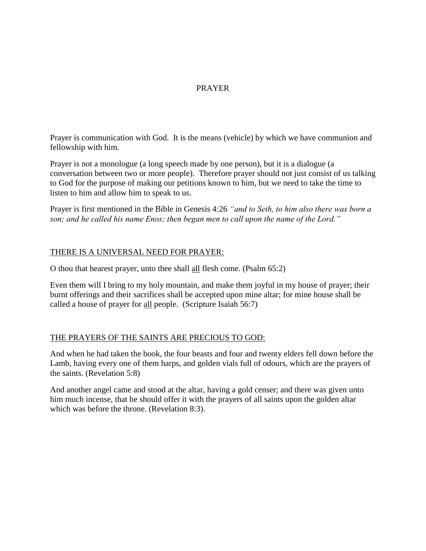# PRAYER

Prayer is communication with God. It is the means (vehicle) by which we have communion and fellowship with him.

Prayer is not a monologue (a long speech made by one person), but it is a dialogue (a conversation between two or more people). Therefore prayer should not just consist of us talking to God for the purpose of making our petitions known to him, but we need to take the time to listen to him and allow him to speak to us.

Prayer is first mentioned in the Bible in Genesis 4:26 *"and to Seth, to him also there was born a son; and he called his name Enos; then began men to call upon the name of the Lord."*

### THERE IS A UNIVERSAL NEED FOR PRAYER:

O thou that hearest prayer, unto thee shall all flesh come. (Psalm 65:2)

Even them will I bring to my holy mountain, and make them joyful in my house of prayer; their burnt offerings and their sacrifices shall be accepted upon mine altar; for mine house shall be called a house of prayer for all people. (Scripture Isaiah 56:7)

#### THE PRAYERS OF THE SAINTS ARE PRECIOUS TO GOD:

And when he had taken the book, the four beasts and four and twenty elders fell down before the Lamb, having every one of them harps, and golden vials full of odours, which are the prayers of the saints. (Revelation 5:8)

And another angel came and stood at the altar, having a gold censer; and there was given unto him much incense, that he should offer it with the prayers of all saints upon the golden altar which was before the throne. (Revelation 8:3).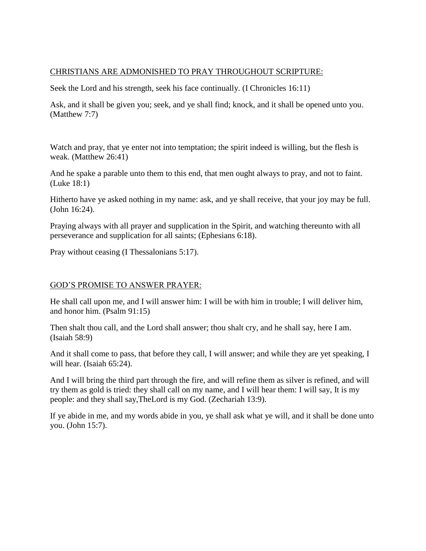## CHRISTIANS ARE ADMONISHED TO PRAY THROUGHOUT SCRIPTURE:

Seek the Lord and his strength, seek his face continually. (I Chronicles 16:11)

Ask, and it shall be given you; seek, and ye shall find; knock, and it shall be opened unto you. (Matthew 7:7)

Watch and pray, that ye enter not into temptation; the spirit indeed is willing, but the flesh is weak. (Matthew 26:41)

And he spake a parable unto them to this end, that men ought always to pray, and not to faint. (Luke 18:1)

Hitherto have ye asked nothing in my name: ask, and ye shall receive, that your joy may be full. (John 16:24).

Praying always with all prayer and supplication in the Spirit, and watching thereunto with all perseverance and supplication for all saints; (Ephesians 6:18).

Pray without ceasing (I Thessalonians 5:17).

#### GOD'S PROMISE TO ANSWER PRAYER:

He shall call upon me, and I will answer him: I will be with him in trouble; I will deliver him, and honor him. (Psalm 91:15)

Then shalt thou call, and the Lord shall answer; thou shalt cry, and he shall say, here I am. (Isaiah 58:9)

And it shall come to pass, that before they call, I will answer; and while they are yet speaking, I will hear. (Isaiah 65:24).

And I will bring the third part through the fire, and will refine them as silver is refined, and will try them as gold is tried: they shall call on my name, and I will hear them: I will say, It is my people: and they shall say,TheLord is my God. (Zechariah 13:9).

If ye abide in me, and my words abide in you, ye shall ask what ye will, and it shall be done unto you. (John 15:7).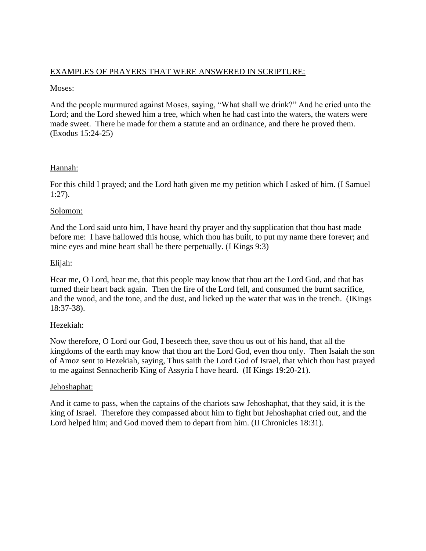## EXAMPLES OF PRAYERS THAT WERE ANSWERED IN SCRIPTURE:

### Moses:

And the people murmured against Moses, saying, "What shall we drink?" And he cried unto the Lord; and the Lord shewed him a tree, which when he had cast into the waters, the waters were made sweet. There he made for them a statute and an ordinance, and there he proved them. (Exodus 15:24-25)

# Hannah:

For this child I prayed; and the Lord hath given me my petition which I asked of him. (I Samuel 1:27).

# Solomon:

And the Lord said unto him, I have heard thy prayer and thy supplication that thou hast made before me: I have hallowed this house, which thou has built, to put my name there forever; and mine eyes and mine heart shall be there perpetually. (I Kings 9:3)

# Elijah:

Hear me, O Lord, hear me, that this people may know that thou art the Lord God, and that has turned their heart back again. Then the fire of the Lord fell, and consumed the burnt sacrifice, and the wood, and the tone, and the dust, and licked up the water that was in the trench. (IKings 18:37-38).

# Hezekiah:

Now therefore, O Lord our God, I beseech thee, save thou us out of his hand, that all the kingdoms of the earth may know that thou art the Lord God, even thou only. Then Isaiah the son of Amoz sent to Hezekiah, saying, Thus saith the Lord God of Israel, that which thou hast prayed to me against Sennacherib King of Assyria I have heard. (II Kings 19:20-21).

# Jehoshaphat:

And it came to pass, when the captains of the chariots saw Jehoshaphat, that they said, it is the king of Israel. Therefore they compassed about him to fight but Jehoshaphat cried out, and the Lord helped him; and God moved them to depart from him. (II Chronicles 18:31).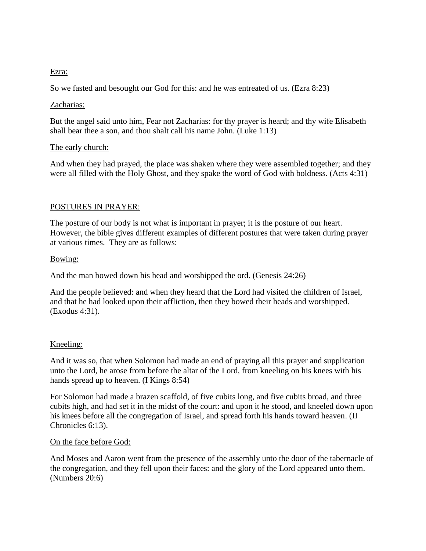### Ezra:

So we fasted and besought our God for this: and he was entreated of us. (Ezra 8:23)

## Zacharias:

But the angel said unto him, Fear not Zacharias: for thy prayer is heard; and thy wife Elisabeth shall bear thee a son, and thou shalt call his name John. (Luke 1:13)

### The early church:

And when they had prayed, the place was shaken where they were assembled together; and they were all filled with the Holy Ghost, and they spake the word of God with boldness. (Acts 4:31)

# POSTURES IN PRAYER:

The posture of our body is not what is important in prayer; it is the posture of our heart. However, the bible gives different examples of different postures that were taken during prayer at various times. They are as follows:

### Bowing:

And the man bowed down his head and worshipped the ord. (Genesis 24:26)

And the people believed: and when they heard that the Lord had visited the children of Israel, and that he had looked upon their affliction, then they bowed their heads and worshipped. (Exodus 4:31).

# Kneeling:

And it was so, that when Solomon had made an end of praying all this prayer and supplication unto the Lord, he arose from before the altar of the Lord, from kneeling on his knees with his hands spread up to heaven. (I Kings 8:54)

For Solomon had made a brazen scaffold, of five cubits long, and five cubits broad, and three cubits high, and had set it in the midst of the court: and upon it he stood, and kneeled down upon his knees before all the congregation of Israel, and spread forth his hands toward heaven. (II Chronicles 6:13).

#### On the face before God:

And Moses and Aaron went from the presence of the assembly unto the door of the tabernacle of the congregation, and they fell upon their faces: and the glory of the Lord appeared unto them. (Numbers 20:6)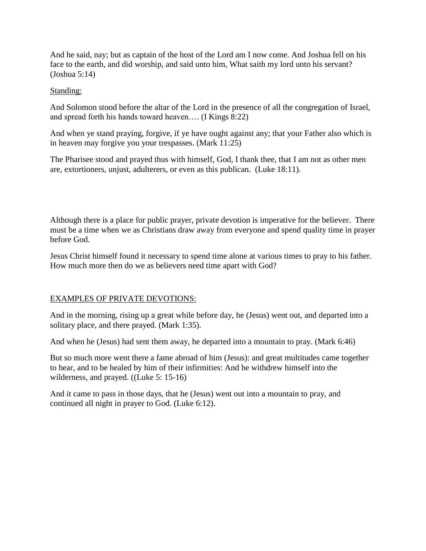And he said, nay; but as captain of the host of the Lord am I now come. And Joshua fell on his face to the earth, and did worship, and said unto him, What saith my lord unto his servant? (Joshua 5:14)

### Standing:

And Solomon stood before the altar of the Lord in the presence of all the congregation of Israel, and spread forth his hands toward heaven…. (I Kings 8:22)

And when ye stand praying, forgive, if ye have ought against any; that your Father also which is in heaven may forgive you your trespasses. (Mark 11:25)

The Pharisee stood and prayed thus with himself, God, I thank thee, that I am not as other men are, extortioners, unjust, adulterers, or even as this publican. (Luke 18:11).

Although there is a place for public prayer, private devotion is imperative for the believer. There must be a time when we as Christians draw away from everyone and spend quality time in prayer before God.

Jesus Christ himself found it necessary to spend time alone at various times to pray to his father. How much more then do we as believers need time apart with God?

# EXAMPLES OF PRIVATE DEVOTIONS:

And in the morning, rising up a great while before day, he (Jesus) went out, and departed into a solitary place, and there prayed. (Mark 1:35).

And when he (Jesus) had sent them away, he departed into a mountain to pray. (Mark 6:46)

But so much more went there a fame abroad of him (Jesus): and great multitudes came together to hear, and to be healed by him of their infirmities: And he withdrew himself into the wilderness, and prayed. ((Luke 5: 15-16)

And it came to pass in those days, that he (Jesus) went out into a mountain to pray, and continued all night in prayer to God. (Luke 6:12).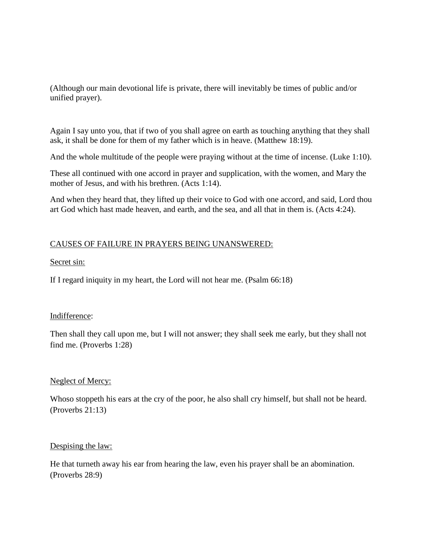(Although our main devotional life is private, there will inevitably be times of public and/or unified prayer).

Again I say unto you, that if two of you shall agree on earth as touching anything that they shall ask, it shall be done for them of my father which is in heave. (Matthew 18:19).

And the whole multitude of the people were praying without at the time of incense. (Luke 1:10).

These all continued with one accord in prayer and supplication, with the women, and Mary the mother of Jesus, and with his brethren. (Acts 1:14).

And when they heard that, they lifted up their voice to God with one accord, and said, Lord thou art God which hast made heaven, and earth, and the sea, and all that in them is. (Acts 4:24).

# CAUSES OF FAILURE IN PRAYERS BEING UNANSWERED:

#### Secret sin:

If I regard iniquity in my heart, the Lord will not hear me. (Psalm 66:18)

#### Indifference:

Then shall they call upon me, but I will not answer; they shall seek me early, but they shall not find me. (Proverbs 1:28)

#### Neglect of Mercy:

Whoso stoppeth his ears at the cry of the poor, he also shall cry himself, but shall not be heard. (Proverbs 21:13)

#### Despising the law:

He that turneth away his ear from hearing the law, even his prayer shall be an abomination. (Proverbs 28:9)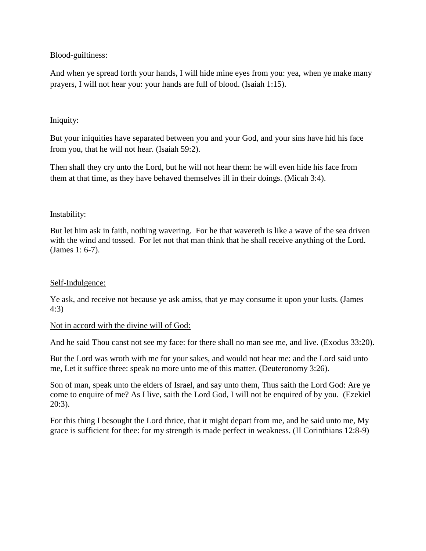### Blood-guiltiness:

And when ye spread forth your hands, I will hide mine eyes from you: yea, when ye make many prayers, I will not hear you: your hands are full of blood. (Isaiah 1:15).

## Iniquity:

But your iniquities have separated between you and your God, and your sins have hid his face from you, that he will not hear. (Isaiah 59:2).

Then shall they cry unto the Lord, but he will not hear them: he will even hide his face from them at that time, as they have behaved themselves ill in their doings. (Micah 3:4).

### Instability:

But let him ask in faith, nothing wavering. For he that wavereth is like a wave of the sea driven with the wind and tossed. For let not that man think that he shall receive anything of the Lord. (James 1: 6-7).

#### Self-Indulgence:

Ye ask, and receive not because ye ask amiss, that ye may consume it upon your lusts. (James 4:3)

#### Not in accord with the divine will of God:

And he said Thou canst not see my face: for there shall no man see me, and live. (Exodus 33:20).

But the Lord was wroth with me for your sakes, and would not hear me: and the Lord said unto me, Let it suffice three: speak no more unto me of this matter. (Deuteronomy 3:26).

Son of man, speak unto the elders of Israel, and say unto them, Thus saith the Lord God: Are ye come to enquire of me? As I live, saith the Lord God, I will not be enquired of by you. (Ezekiel 20:3).

For this thing I besought the Lord thrice, that it might depart from me, and he said unto me, My grace is sufficient for thee: for my strength is made perfect in weakness. (II Corinthians 12:8-9)